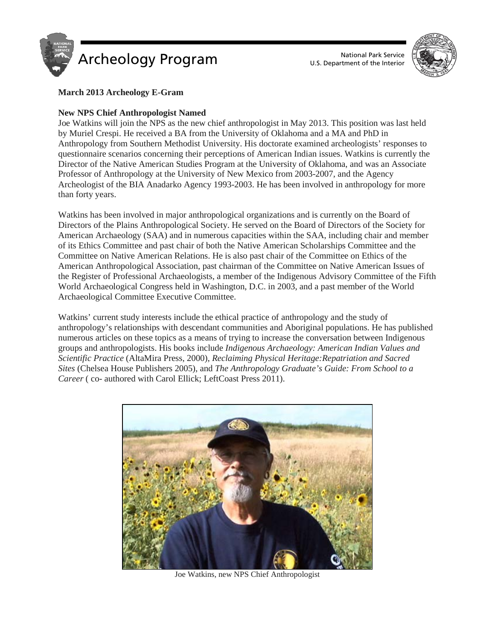



# **March 2013 Archeology E-Gram**

## **New NPS Chief Anthropologist Named**

Joe Watkins will join the NPS as the new chief anthropologist in May 2013. This position was last held by Muriel Crespi. He received a BA from the University of Oklahoma and a MA and PhD in Anthropology from Southern Methodist University. His doctorate examined archeologists' responses to questionnaire scenarios concerning their perceptions of American Indian issues. Watkins is currently the Director of the Native American Studies Program at the University of Oklahoma, and was an Associate Professor of Anthropology at the University of New Mexico from 2003-2007, and the Agency Archeologist of the BIA Anadarko Agency 1993-2003. He has been involved in anthropology for more than forty years.

Watkins has been involved in major anthropological organizations and is currently on the Board of Directors of the Plains Anthropological Society. He served on the Board of Directors of the Society for American Archaeology (SAA) and in numerous capacities within the SAA, including chair and member of its Ethics Committee and past chair of both the Native American Scholarships Committee and the Committee on Native American Relations. He is also past chair of the Committee on Ethics of the American Anthropological Association, past chairman of the Committee on Native American Issues of the Register of Professional Archaeologists, a member of the Indigenous Advisory Committee of the Fifth World Archaeological Congress held in Washington, D.C. in 2003, and a past member of the World Archaeological Committee Executive Committee.

Watkins' current study interests include the ethical practice of anthropology and the study of anthropology's relationships with descendant communities and Aboriginal populations. He has published numerous articles on these topics as a means of trying to increase the conversation between Indigenous groups and anthropologists. His books include *Indigenous Archaeology: American Indian Values and Scientific Practice* (AltaMira Press, 2000), *Reclaiming Physical Heritage:Repatriation and Sacred Sites* (Chelsea House Publishers 2005), and *The Anthropology Graduate's Guide: From School to a Career* ( co- authored with Carol Ellick; LeftCoast Press 2011).



Joe Watkins, new NPS Chief Anthropologist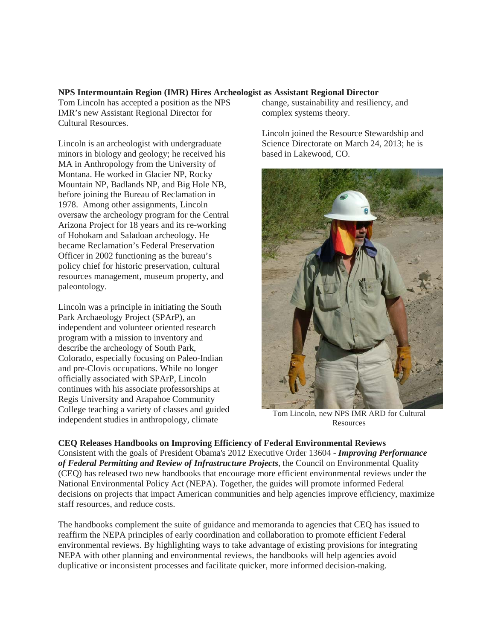## **NPS Intermountain Region (IMR) Hires Archeologist as Assistant Regional Director**

Tom Lincoln has accepted a position as the NPS IMR's new Assistant Regional Director for Cultural Resources.

Lincoln is an archeologist with undergraduate minors in biology and geology; he received his MA in Anthropology from the University of Montana. He worked in Glacier NP, Rocky Mountain NP, Badlands NP, and Big Hole NB, before joining the Bureau of Reclamation in 1978. Among other assignments, Lincoln oversaw the archeology program for the Central Arizona Project for 18 years and its re-working of Hohokam and Saladoan archeology. He became Reclamation's Federal Preservation Officer in 2002 functioning as the bureau's policy chief for historic preservation, cultural resources management, museum property, and paleontology.

Lincoln was a principle in initiating the South Park Archaeology Project (SPArP), an independent and volunteer oriented research program with a mission to inventory and describe the archeology of South Park, Colorado, especially focusing on Paleo-Indian and pre-Clovis occupations. While no longer officially associated with SPArP, Lincoln continues with his associate professorships at Regis University and Arapahoe Community College teaching a variety of classes and guided independent studies in anthropology, climate

change, sustainability and resiliency, and complex systems theory.

Lincoln joined the Resource Stewardship and Science Directorate on March 24, 2013; he is based in Lakewood, CO.



Tom Lincoln, new NPS IMR ARD for Cultural Resources

**CEQ Releases Handbooks on Improving Efficiency of Federal Environmental Reviews** Consistent with the goals of President Obama's 2012 Executive Order 13604 - *Improving Performance of Federal Permitting and Review of Infrastructure Projects*, the Council on Environmental Quality (CEQ) has released two new handbooks that encourage more efficient environmental reviews under the National Environmental Policy Act (NEPA). Together, the guides will promote informed Federal decisions on projects that impact American communities and help agencies improve efficiency, maximize staff resources, and reduce costs.

The handbooks complement the suite of guidance and memoranda to agencies that CEQ has issued to reaffirm the NEPA principles of early coordination and collaboration to promote efficient Federal environmental reviews. By highlighting ways to take advantage of existing provisions for integrating NEPA with other planning and environmental reviews, the handbooks will help agencies avoid duplicative or inconsistent processes and facilitate quicker, more informed decision-making.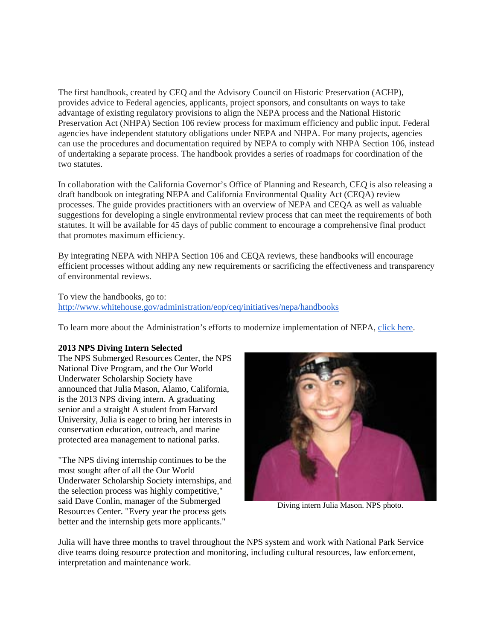The first handbook, created by CEQ and the Advisory Council on Historic Preservation (ACHP), provides advice to Federal agencies, applicants, project sponsors, and consultants on ways to take advantage of existing regulatory provisions to align the NEPA process and the National Historic Preservation Act (NHPA) Section 106 review process for maximum efficiency and public input. Federal agencies have independent statutory obligations under NEPA and NHPA. For many projects, agencies can use the procedures and documentation required by NEPA to comply with NHPA Section 106, instead of undertaking a separate process. The handbook provides a series of roadmaps for coordination of the two statutes.

In collaboration with the California Governor's Office of Planning and Research, CEQ is also releasing a draft handbook on integrating NEPA and California Environmental Quality Act (CEQA) review processes. The guide provides practitioners with an overview of NEPA and CEQA as well as valuable suggestions for developing a single environmental review process that can meet the requirements of both statutes. It will be available for 45 days of public comment to encourage a comprehensive final product that promotes maximum efficiency.

By integrating NEPA with NHPA Section 106 and CEQA reviews, these handbooks will encourage efficient processes without adding any new requirements or sacrificing the effectiveness and transparency of environmental reviews.

To view the handbooks, go to: <http://www.whitehouse.gov/administration/eop/ceq/initiatives/nepa/handbooks>

To learn more about the Administration's efforts to modernize implementation of NEPA, [click here.](http://www.whitehouse.gov/administration/eop/ceq/initiatives/nepa/)

#### **2013 NPS Diving Intern Selected**

The NPS Submerged Resources Center, the NPS National Dive Program, and the Our World Underwater Scholarship Society have announced that Julia Mason, Alamo, California, is the 2013 NPS diving intern. A graduating senior and a straight A student from Harvard University, Julia is eager to bring her interests in conservation education, outreach, and marine protected area management to national parks.

"The NPS diving internship continues to be the most sought after of all the Our World Underwater Scholarship Society internships, and the selection process was highly competitive," said Dave Conlin, manager of the Submerged Resources Center. "Every year the process gets better and the internship gets more applicants."



Diving intern Julia Mason. NPS photo.

Julia will have three months to travel throughout the NPS system and work with National Park Service dive teams doing resource protection and monitoring, including cultural resources, law enforcement, interpretation and maintenance work.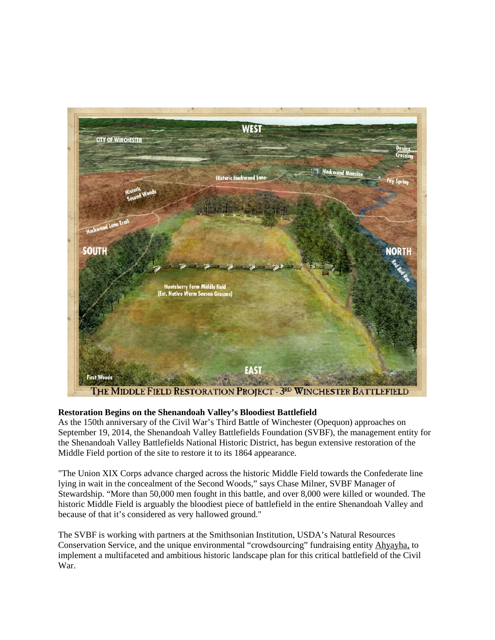

### **Restoration Begins on the Shenandoah Valley's Bloodiest Battlefield**

As the 150th anniversary of the Civil War's Third Battle of Winchester (Opequon) approaches on September 19, 2014, the Shenandoah Valley Battlefields Foundation (SVBF), the management entity for the Shenandoah Valley Battlefields National Historic District, has begun extensive restoration of the Middle Field portion of the site to restore it to its 1864 appearance.

"The Union XIX Corps advance charged across the historic Middle Field towards the Confederate line lying in wait in the concealment of the Second Woods," says Chase Milner, SVBF Manager of Stewardship. "More than 50,000 men fought in this battle, and over 8,000 were killed or wounded. The historic Middle Field is arguably the bloodiest piece of battlefield in the entire Shenandoah Valley and because of that it's considered as very hallowed ground."

The SVBF is working with partners at the Smithsonian Institution, USDA's Natural Resources Conservation Service, and the unique environmental "crowdsourcing" fundraising entity [Ahyayha,](http://ahyayha.com/funded-project-va-battlefield-and-wildlife-restoration/) to implement a multifaceted and ambitious historic landscape plan for this critical battlefield of the Civil War.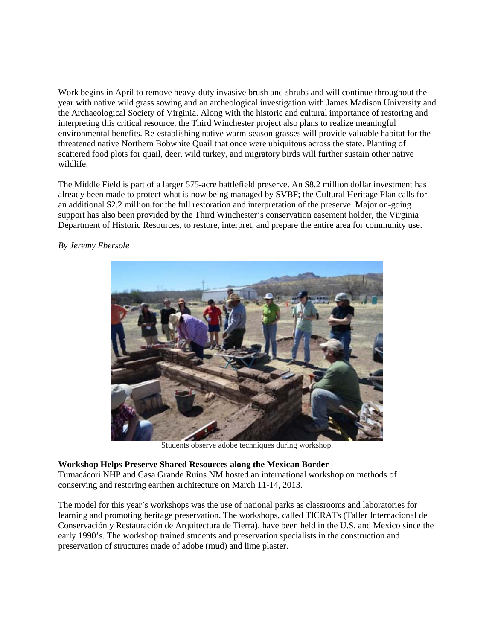Work begins in April to remove heavy-duty invasive brush and shrubs and will continue throughout the year with native wild grass sowing and an archeological investigation with James Madison University and the Archaeological Society of Virginia. Along with the historic and cultural importance of restoring and interpreting this critical resource, the Third Winchester project also plans to realize meaningful environmental benefits. Re-establishing native warm-season grasses will provide valuable habitat for the threatened native Northern Bobwhite Quail that once were ubiquitous across the state. Planting of scattered food plots for quail, deer, wild turkey, and migratory birds will further sustain other native wildlife.

The Middle Field is part of a larger 575-acre battlefield preserve. An \$8.2 million dollar investment has already been made to protect what is now being managed by SVBF; the Cultural Heritage Plan calls for an additional \$2.2 million for the full restoration and interpretation of the preserve. Major on-going support has also been provided by the Third Winchester's conservation easement holder, the Virginia Department of Historic Resources, to restore, interpret, and prepare the entire area for community use.

*By Jeremy Ebersole*



Students observe adobe techniques during workshop.

### **Workshop Helps Preserve Shared Resources along the Mexican Border**

Tumacácori NHP and Casa Grande Ruins NM hosted an international workshop on methods of conserving and restoring earthen architecture on March 11-14, 2013.

The model for this year's workshops was the use of national parks as classrooms and laboratories for learning and promoting heritage preservation. The workshops, called TICRATs (Taller Internacional de Conservación y Restauración de Arquitectura de Tierra), have been held in the U.S. and Mexico since the early 1990's. The workshop trained students and preservation specialists in the construction and preservation of structures made of adobe (mud) and lime plaster.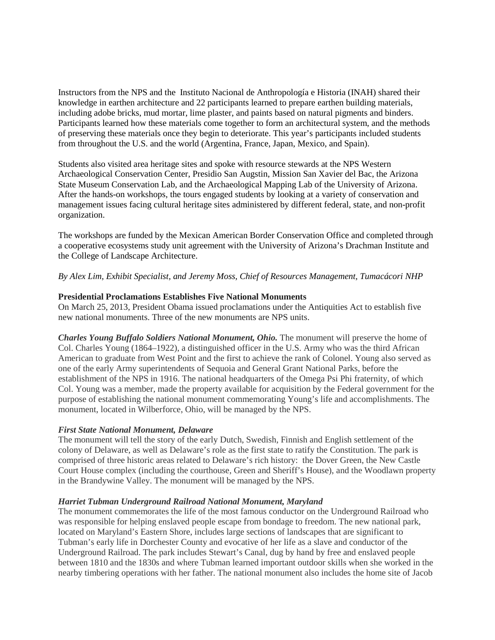Instructors from the NPS and the Instituto Nacional de Anthropología e Historia (INAH) shared their knowledge in earthen architecture and 22 participants learned to prepare earthen building materials, including adobe bricks, mud mortar, lime plaster, and paints based on natural pigments and binders. Participants learned how these materials come together to form an architectural system, and the methods of preserving these materials once they begin to deteriorate. This year's participants included students from throughout the U.S. and the world (Argentina, France, Japan, Mexico, and Spain).

Students also visited area heritage sites and spoke with resource stewards at the NPS Western Archaeological Conservation Center, Presidio San Augstin, Mission San Xavier del Bac, the Arizona State Museum Conservation Lab, and the Archaeological Mapping Lab of the University of Arizona. After the hands-on workshops, the tours engaged students by looking at a variety of conservation and management issues facing cultural heritage sites administered by different federal, state, and non-profit organization.

The workshops are funded by the Mexican American Border Conservation Office and completed through a cooperative ecosystems study unit agreement with the University of Arizona's Drachman Institute and the College of Landscape Architecture.

### *By Alex Lim, Exhibit Specialist, and Jeremy Moss, Chief of Resources Management, Tumacácori NHP*

### **Presidential Proclamations Establishes Five National Monuments**

On March 25, 2013, President Obama issued proclamations under the Antiquities Act to establish five new national monuments. Three of the new monuments are NPS units.

*Charles Young Buffalo Soldiers National Monument, Ohio.* The monument will preserve the home of Col. Charles Young (1864–1922), a distinguished officer in the U.S. Army who was the third African American to graduate from West Point and the first to achieve the rank of Colonel. Young also served as one of the early Army superintendents of Sequoia and General Grant National Parks, before the establishment of the NPS in 1916. The national headquarters of the Omega Psi Phi fraternity, of which Col. Young was a member, made the property available for acquisition by the Federal government for the purpose of establishing the national monument commemorating Young's life and accomplishments. The monument, located in Wilberforce, Ohio, will be managed by the NPS.

#### *First State National Monument, Delaware*

The monument will tell the story of the early Dutch, Swedish, Finnish and English settlement of the colony of Delaware, as well as Delaware's role as the first state to ratify the Constitution. The park is comprised of three historic areas related to Delaware's rich history: the Dover Green, the New Castle Court House complex (including the courthouse, Green and Sheriff's House), and the Woodlawn property in the Brandywine Valley. The monument will be managed by the NPS.

#### *Harriet Tubman Underground Railroad National Monument, Maryland*

The monument commemorates the life of the most famous conductor on the Underground Railroad who was responsible for helping enslaved people escape from bondage to freedom. The new national park, located on Maryland's Eastern Shore, includes large sections of landscapes that are significant to Tubman's early life in Dorchester County and evocative of her life as a slave and conductor of the Underground Railroad. The park includes Stewart's Canal, dug by hand by free and enslaved people between 1810 and the 1830s and where Tubman learned important outdoor skills when she worked in the nearby timbering operations with her father. The national monument also includes the home site of Jacob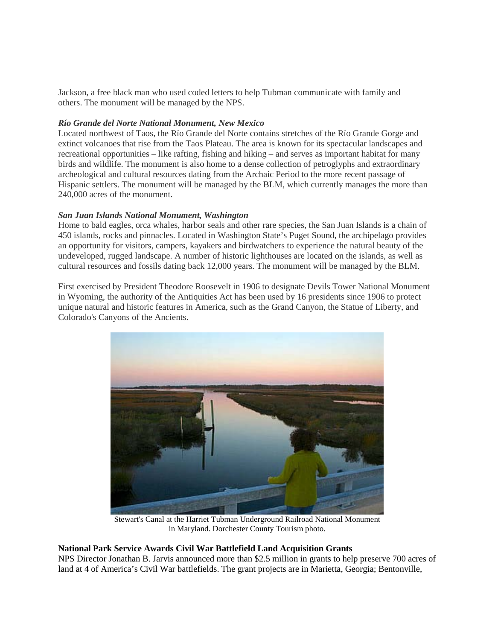Jackson, a free black man who used coded letters to help Tubman communicate with family and others. The monument will be managed by the NPS.

### *Río Grande del Norte National Monument, New Mexico*

Located northwest of Taos, the Río Grande del Norte contains stretches of the Río Grande Gorge and extinct volcanoes that rise from the Taos Plateau. The area is known for its spectacular landscapes and recreational opportunities – like rafting, fishing and hiking – and serves as important habitat for many birds and wildlife. The monument is also home to a dense collection of petroglyphs and extraordinary archeological and cultural resources dating from the Archaic Period to the more recent passage of Hispanic settlers. The monument will be managed by the BLM, which currently manages the more than 240,000 acres of the monument.

### *San Juan Islands National Monument, Washington*

Home to bald eagles, orca whales, harbor seals and other rare species, the San Juan Islands is a chain of 450 islands, rocks and pinnacles. Located in Washington State's Puget Sound, the archipelago provides an opportunity for visitors, campers, kayakers and birdwatchers to experience the natural beauty of the undeveloped, rugged landscape. A number of historic lighthouses are located on the islands, as well as cultural resources and fossils dating back 12,000 years. The monument will be managed by the BLM.

First exercised by President Theodore Roosevelt in 1906 to designate Devils Tower National Monument in Wyoming, the authority of the Antiquities Act has been used by 16 presidents since 1906 to protect unique natural and historic features in America, such as the Grand Canyon, the Statue of Liberty, and Colorado's Canyons of the Ancients.



Stewart's Canal at the Harriet Tubman Underground Railroad National Monument in Maryland. Dorchester County Tourism photo.

### **National Park Service Awards Civil War Battlefield Land Acquisition Grants**

NPS Director Jonathan B. Jarvis announced more than \$2.5 million in grants to help preserve 700 acres of land at 4 of America's Civil War battlefields. The grant projects are in Marietta, Georgia; Bentonville,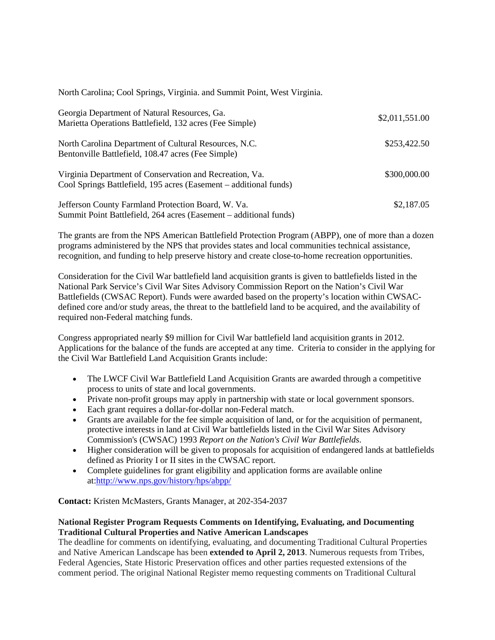North Carolina; Cool Springs, Virginia. and Summit Point, West Virginia.

| Georgia Department of Natural Resources, Ga.<br>Marietta Operations Battlefield, 132 acres (Fee Simple)                      | \$2,011,551.00 |
|------------------------------------------------------------------------------------------------------------------------------|----------------|
| North Carolina Department of Cultural Resources, N.C.<br>Bentonville Battlefield, 108.47 acres (Fee Simple)                  | \$253,422.50   |
| Virginia Department of Conservation and Recreation, Va.<br>Cool Springs Battlefield, 195 acres (Easement – additional funds) | \$300,000.00   |
| Jefferson County Farmland Protection Board, W. Va.<br>Summit Point Battlefield, 264 acres (Easement – additional funds)      | \$2,187.05     |

The grants are from the NPS American Battlefield Protection Program (ABPP), one of more than a dozen programs administered by the NPS that provides states and local communities technical assistance, recognition, and funding to help preserve history and create close-to-home recreation opportunities.

Consideration for the Civil War battlefield land acquisition grants is given to battlefields listed in the National Park Service's Civil War Sites Advisory Commission Report on the Nation's Civil War Battlefields (CWSAC Report). Funds were awarded based on the property's location within CWSACdefined core and/or study areas, the threat to the battlefield land to be acquired, and the availability of required non-Federal matching funds.

Congress appropriated nearly \$9 million for Civil War battlefield land acquisition grants in 2012. Applications for the balance of the funds are accepted at any time. Criteria to consider in the applying for the Civil War Battlefield Land Acquisition Grants include:

- The LWCF Civil War Battlefield Land Acquisition Grants are awarded through a competitive process to units of state and local governments.
- Private non-profit groups may apply in partnership with state or local government sponsors.
- Each grant requires a dollar-for-dollar non-Federal match.
- Grants are available for the fee simple acquisition of land, or for the acquisition of permanent, protective interests in land at Civil War battlefields listed in the Civil War Sites Advisory Commission's (CWSAC) 1993 *Report on the Nation's Civil War Battlefields*.
- Higher consideration will be given to proposals for acquisition of endangered lands at battlefields defined as Priority I or II sites in the CWSAC report.
- Complete guidelines for grant eligibility and application forms are available online at[:http://www.nps.gov/history/hps/abpp/](http://www.nps.gov/history/hps/abpp/)

### **Contact:** Kristen McMasters, Grants Manager, at 202-354-2037

# **National Register Program Requests Comments on Identifying, Evaluating, and Documenting Traditional Cultural Properties and Native American Landscapes**

The deadline for comments on identifying, evaluating, and documenting Traditional Cultural Properties and Native American Landscape has been **extended to April 2, 2013**. Numerous requests from Tribes, Federal Agencies, State Historic Preservation offices and other parties requested extensions of the comment period. The original National Register memo requesting comments on Traditional Cultural